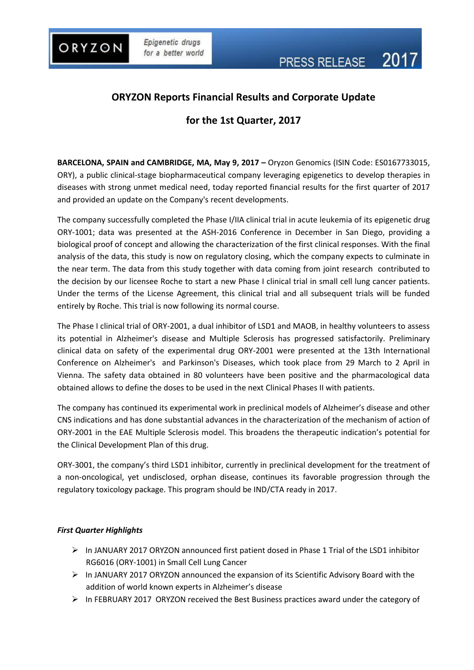

ORYZON

# **ORYZON Reports Financial Results and Corporate Update**

# **for the 1st Quarter, 2017**

**BARCELONA, SPAIN and CAMBRIDGE, MA, May 9, 2017 –** Oryzon Genomics (ISIN Code: ES0167733015, ORY), a public clinical-stage biopharmaceutical company leveraging epigenetics to develop therapies in diseases with strong unmet medical need, today reported financial results for the first quarter of 2017 and provided an update on the Company's recent developments.

The company successfully completed the Phase I/IIA clinical trial in acute leukemia of its epigenetic drug ORY-1001; data was presented at the ASH-2016 Conference in December in San Diego, providing a biological proof of concept and allowing the characterization of the first clinical responses. With the final analysis of the data, this study is now on regulatory closing, which the company expects to culminate in the near term. The data from this study together with data coming from joint research contributed to the decision by our licensee Roche to start a new Phase I clinical trial in small cell lung cancer patients. Under the terms of the License Agreement, this clinical trial and all subsequent trials will be funded entirely by Roche. This trial is now following its normal course.

The Phase I clinical trial of ORY-2001, a dual inhibitor of LSD1 and MAOB, in healthy volunteers to assess its potential in Alzheimer's disease and Multiple Sclerosis has progressed satisfactorily. Preliminary clinical data on safety of the experimental drug ORY-2001 were presented at the 13th International Conference on Alzheimer's and Parkinson's Diseases, which took place from 29 March to 2 April in Vienna. The safety data obtained in 80 volunteers have been positive and the pharmacological data obtained allows to define the doses to be used in the next Clinical Phases II with patients.

The company has continued its experimental work in preclinical models of Alzheimer's disease and other CNS indications and has done substantial advances in the characterization of the mechanism of action of ORY-2001 in the EAE Multiple Sclerosis model. This broadens the therapeutic indication's potential for the Clinical Development Plan of this drug.

ORY-3001, the company's third LSD1 inhibitor, currently in preclinical development for the treatment of a non-oncological, yet undisclosed, orphan disease, continues its favorable progression through the regulatory toxicology package. This program should be IND/CTA ready in 2017.

## *First Quarter Highlights*

- $\triangleright$  In JANUARY 2017 ORYZON announced first patient [dosed in Phase 1 Trial of the LSD1](https://www.oryzon.com/en/news/oryzon-announces-exercise-warrants-alzheimer%E2%80%99s-drug-discovery-foundation-addf) inhibitor [RG6016 \(ORY-1001\) in Small Cell Lung Cancer](https://www.oryzon.com/en/news/oryzon-announces-exercise-warrants-alzheimer%E2%80%99s-drug-discovery-foundation-addf)
- $\triangleright$  In JANUARY 2017 ORYZON announced the expansion of its Scientific Advisory Board with the [addition of world known experts in Alzheimer's disease](https://www.oryzon.com/en/news/oryzon-announces-exercise-warrants-alzheimer%E2%80%99s-drug-discovery-foundation-addf)
- $\triangleright$  In FEBRUARY 2017 ORYZON received the Best Business practices award under the category of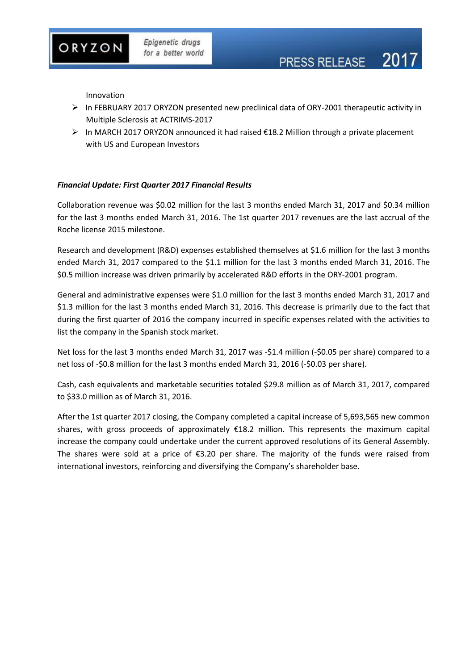Innovation

ORYZON

 $\triangleright$  In FEBRUARY 2017 ORYZON presented new preclinical data of ORY-2001 therapeutic activity in Multiple Sclerosis at ACTRIMS-2017

PRESS RELEASE 2017

 $\triangleright$  In MARCH 2017 ORYZON announced it had raised  $\epsilon$ 18.2 Million through a private placement [with US and European Investors](https://www.oryzon.com/en/news/oryzon-receives-new-08-m-usd-public-grant-explore-new-indications-epigenetic-inhibitors)

#### *Financial Update: First Quarter 2017 Financial Results*

Collaboration revenue was \$0.02 million for the last 3 months ended March 31, 2017 and \$0.34 million for the last 3 months ended March 31, 2016. The 1st quarter 2017 revenues are the last accrual of the Roche license 2015 milestone.

Research and development (R&D) expenses established themselves at \$1.6 million for the last 3 months ended March 31, 2017 compared to the \$1.1 million for the last 3 months ended March 31, 2016. The \$0.5 million increase was driven primarily by accelerated R&D efforts in the ORY-2001 program.

General and administrative expenses were \$1.0 million for the last 3 months ended March 31, 2017 and \$1.3 million for the last 3 months ended March 31, 2016. This decrease is primarily due to the fact that during the first quarter of 2016 the company incurred in specific expenses related with the activities to list the company in the Spanish stock market.

Net loss for the last 3 months ended March 31, 2017 was -\$1.4 million (-\$0.05 per share) compared to a net loss of -\$0.8 million for the last 3 months ended March 31, 2016 (-\$0.03 per share).

Cash, cash equivalents and marketable securities totaled \$29.8 million as of March 31, 2017, compared to \$33.0 million as of March 31, 2016.

After the 1st quarter 2017 closing, the Company completed a capital increase of 5,693,565 new common shares, with gross proceeds of approximately €18.2 million. This represents the maximum capital increase the company could undertake under the current approved resolutions of its General Assembly. The shares were sold at a price of  $\epsilon$ 3.20 per share. The majority of the funds were raised from international investors, reinforcing and diversifying the Company's shareholder base.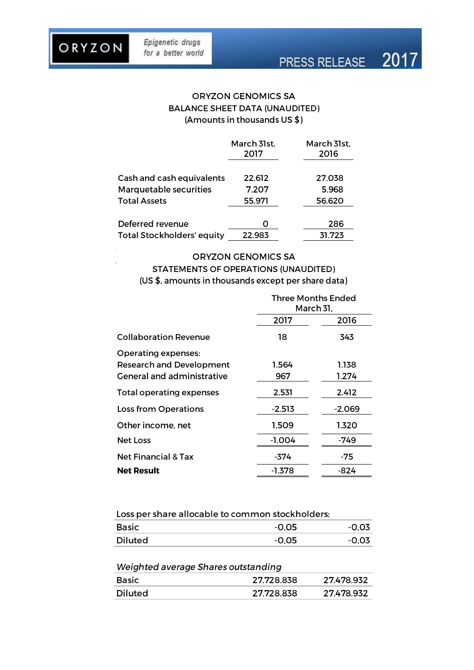|                                   | March 31st,<br>2017 | March 31st,<br>2016 |
|-----------------------------------|---------------------|---------------------|
| Cash and cash equivalents         | 22.612              | 27.038              |
| Marquetable securities            | 7.207               | 5.968               |
| <b>Total Assets</b>               | 55.971              | 56.620              |
|                                   |                     |                     |
| Deferred revenue                  | O                   | 286                 |
| <b>Total Stockholders' equity</b> | 22.983              | 31.723              |

#### **ORYZON GENOMICS SA**

## **STATEMENTS OF OPERATIONS (UNAUDITED)** (US \$, amounts in thousands except per share data)

|                                                                                             | <b>Three Months Ended</b><br>March 31, |                |
|---------------------------------------------------------------------------------------------|----------------------------------------|----------------|
|                                                                                             | 2017                                   | 2016           |
| <b>Collaboration Revenue</b>                                                                | 18                                     | 343            |
| <b>Operating expenses:</b><br><b>Research and Development</b><br>General and administrative | 1.564<br>967                           | 1.138<br>1.274 |
| <b>Total operating expenses</b>                                                             | 2.531                                  | 2.412          |
| Loss from Operations                                                                        | $-2.513$                               | $-2.069$       |
| Other income, net                                                                           | 1.509                                  | 1.320          |
| <b>Net Loss</b>                                                                             | $-1.004$                               | -749           |
| <b>Net Financial &amp; Tax</b>                                                              | -374                                   | -75            |
| Net Result                                                                                  | $-1.378$                               | -824           |

### Loss per share allocable to common stockholders:

| <b>Basic</b>   | $-0.05$ | -റ റ" |
|----------------|---------|-------|
| <b>Diluted</b> | $-0.05$ | -0.07 |

## Weighted average Shares outstanding

| <b>Basic</b>   | 27.728.838 | 27.478.932 |
|----------------|------------|------------|
| <b>Diluted</b> | 27.728.838 | 27.478.932 |

# ORYZON

Epigenetic drugs

for a better world